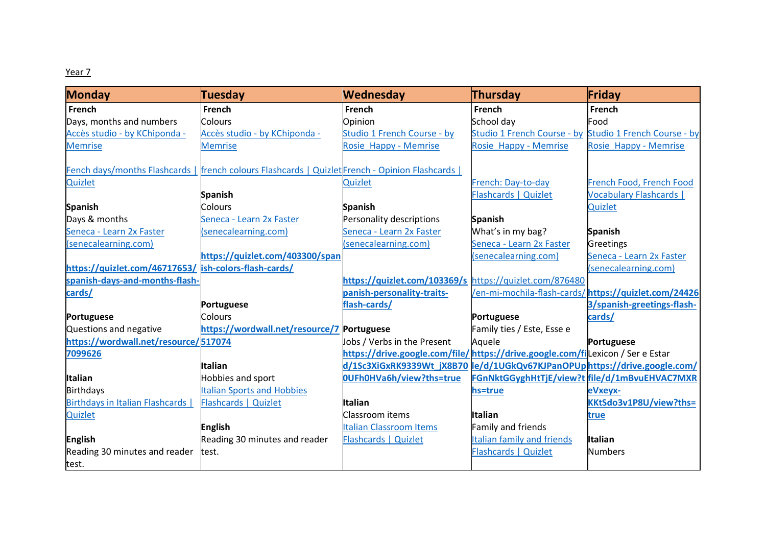## Year 7

| <b>Monday</b>                                         | Tuesday                                                                                        | <b>Wednesday</b>                                                           | Thursday                                                | Friday                         |
|-------------------------------------------------------|------------------------------------------------------------------------------------------------|----------------------------------------------------------------------------|---------------------------------------------------------|--------------------------------|
| French                                                | <b>French</b>                                                                                  | <b>French</b>                                                              | <b>French</b>                                           | <b>French</b>                  |
| Days, months and numbers                              | Colours                                                                                        | Opinion                                                                    | School day                                              | Food                           |
| Accès studio - by KChiponda -                         | Accès studio - by KChiponda -                                                                  | Studio 1 French Course - by                                                | Studio 1 French Course - by Studio 1 French Course - by |                                |
| <b>Memrise</b>                                        | <b>Memrise</b>                                                                                 | Rosie Happy - Memrise                                                      | Rosie Happy - Memrise                                   | Rosie Happy - Memrise          |
|                                                       | Fench days/months Flashcards   french colours Flashcards   Quizlet French - Opinion Flashcards |                                                                            |                                                         |                                |
| Quizlet                                               |                                                                                                | Quizlet                                                                    | French: Day-to-day                                      | French Food, French Food       |
|                                                       | <b>Spanish</b>                                                                                 |                                                                            | Flashcards   Quizlet                                    | <b>Vocabulary Flashcards  </b> |
| <b>Spanish</b>                                        | <b>Colours</b>                                                                                 | <b>Spanish</b>                                                             |                                                         | Quizlet                        |
| Days & months                                         | Seneca - Learn 2x Faster                                                                       | Personality descriptions                                                   | <b>Spanish</b>                                          |                                |
| Seneca - Learn 2x Faster                              | (senecalearning.com)                                                                           | Seneca - Learn 2x Faster                                                   | What's in my bag?                                       | <b>Spanish</b>                 |
| (senecalearning.com)                                  |                                                                                                | (senecalearning.com)                                                       | Seneca - Learn 2x Faster                                | Greetings                      |
|                                                       | https://quizlet.com/403300/span                                                                |                                                                            | (senecalearning.com)                                    | Seneca - Learn 2x Faster       |
| https://quizlet.com/46717653/ ish-colors-flash-cards/ |                                                                                                |                                                                            |                                                         | (senecalearning.com)           |
| spanish-days-and-months-flash-                        |                                                                                                | https://quizlet.com/103369/s https://quizlet.com/876480                    |                                                         |                                |
| cards/                                                |                                                                                                | panish-personality-traits-                                                 | /en-mi-mochila-flash-cards/https://quizlet.com/24426    |                                |
|                                                       | <b>Portuguese</b>                                                                              | flash-cards/                                                               |                                                         | 3/spanish-greetings-flash-     |
| <b>Portuguese</b>                                     | Colours                                                                                        |                                                                            | Portuguese                                              | cards/                         |
| Questions and negative                                | https://wordwall.net/resource/7 Portuguese                                                     |                                                                            | Family ties / Este, Esse e                              |                                |
| https://wordwall.net/resource/517074                  |                                                                                                | Jobs / Verbs in the Present                                                | Aquele                                                  | Portuguese                     |
| 7099626                                               |                                                                                                | https://drive.google.com/file/https://drive.google.com/filexicon/SereEstar |                                                         |                                |
|                                                       | <b>Italian</b>                                                                                 | d/1Sc3XiGxRK9339Wt_jX8B70                                                  | le/d/1UGkQv67KJPanOPUphttps://drive.google.com/         |                                |
| <b>Italian</b>                                        | Hobbies and sport                                                                              | OUFh0HVa6h/view?ths=true                                                   | FGnNktGGyghHtTjE/view?t file/d/1mBvuEHVAC7MXR           |                                |
| <b>Birthdays</b>                                      | <b>Italian Sports and Hobbies</b>                                                              |                                                                            | hs=true                                                 | eVxeyx-                        |
| Birthdays in Italian Flashcards                       | Flashcards   Quizlet                                                                           | <b>Italian</b>                                                             |                                                         | KKtSdo3v1P8U/view?ths=         |
| Quizlet                                               |                                                                                                | Classroom items                                                            | <b>Italian</b>                                          | <u>true</u>                    |
|                                                       | <b>English</b>                                                                                 | <b>Italian Classroom Items</b>                                             | Family and friends                                      |                                |
| English                                               | Reading 30 minutes and reader                                                                  | Flashcards   Quizlet                                                       | <b>Italian family and friends</b>                       | <b>Italian</b>                 |
| Reading 30 minutes and reader                         | test.                                                                                          |                                                                            | Flashcards   Quizlet                                    | <b>Numbers</b>                 |
| test.                                                 |                                                                                                |                                                                            |                                                         |                                |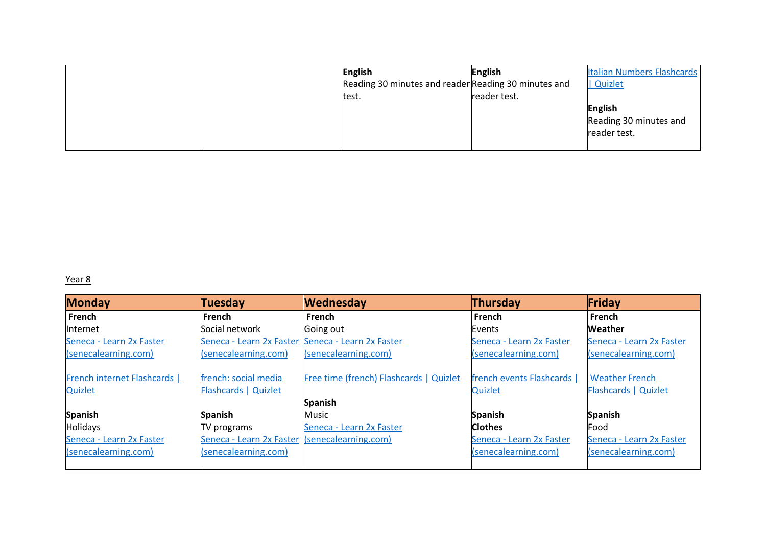|  | <b>English</b>                                       | <b>English</b> | <b>Italian Numbers Flashcards</b> |
|--|------------------------------------------------------|----------------|-----------------------------------|
|  | Reading 30 minutes and reader Reading 30 minutes and |                | Quizlet                           |
|  | test.                                                | reader test.   |                                   |
|  |                                                      |                | <b>English</b>                    |
|  |                                                      |                | Reading 30 minutes and            |
|  |                                                      |                | reader test.                      |
|  |                                                      |                |                                   |

## Year 8

| <b>Monday</b>              | Tuesday                                           | <b>Wednesday</b>                        | Thursday                 | Friday                      |
|----------------------------|---------------------------------------------------|-----------------------------------------|--------------------------|-----------------------------|
| French                     | <b>French</b>                                     | French                                  | French                   | l French                    |
| Internet                   | Social network                                    | Going out                               | Events                   | Weather                     |
| Seneca - Learn 2x Faster   | Seneca - Learn 2x Faster Seneca - Learn 2x Faster |                                         | Seneca - Learn 2x Faster | Seneca - Learn 2x Faster    |
| (senecalearning.com)       | (senecalearning.com)                              | (senecalearning.com)                    | (senecalearning.com)     | (senecalearning.com)        |
| French internet Flashcards | french: social media                              | Free time (french) Flashcards   Quizlet | french events Flashcards | <b>Weather French</b>       |
| Quizlet                    | Flashcards   Quizlet                              |                                         | Quizlet                  | <b>Flashcards   Quizlet</b> |
|                            |                                                   | <b>Spanish</b>                          |                          |                             |
| <b>Spanish</b>             | <b>Spanish</b>                                    | Music                                   | <b>Spanish</b>           | <b>Spanish</b>              |
| <b>Holidays</b>            | TV programs                                       | Seneca - Learn 2x Faster                | <b>Clothes</b>           | Food                        |
| Seneca - Learn 2x Faster   | Seneca - Learn 2x Faster                          | (senecalearning.com)                    | Seneca - Learn 2x Faster | Seneca - Learn 2x Faster    |
| (senecalearning.com)       | (senecalearning.com)                              |                                         | (senecalearning.com)     | (senecalearning.com)        |
|                            |                                                   |                                         |                          |                             |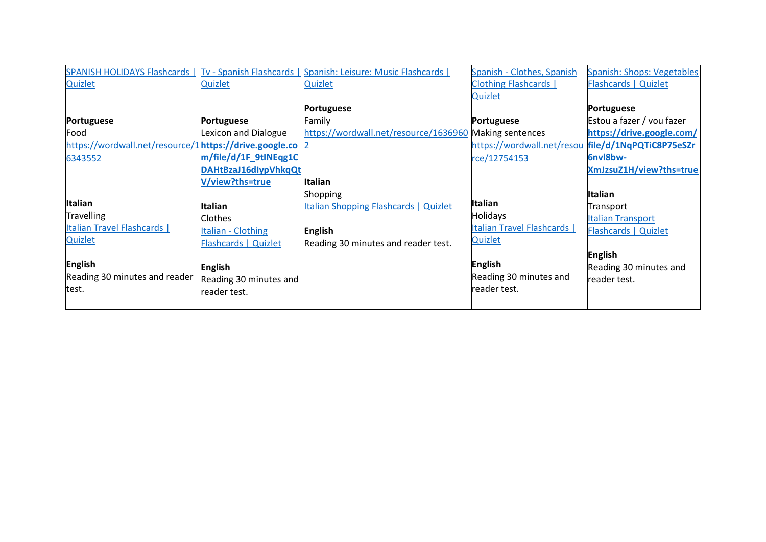|                                                        |                           | SPANISH HOLIDAYS Flashcards   Tv - Spanish Flashcards   Spanish: Leisure: Music Flashcards | Spanish - Clothes, Spanish                         | <b>Spanish: Shops: Vegetables</b> |
|--------------------------------------------------------|---------------------------|--------------------------------------------------------------------------------------------|----------------------------------------------------|-----------------------------------|
| <b>Quizlet</b>                                         | <b>Quizlet</b>            | Quizlet                                                                                    | <b>Clothing Flashcards  </b>                       | Flashcards   Quizlet              |
|                                                        |                           |                                                                                            | Quizlet                                            |                                   |
|                                                        |                           | <b>Portuguese</b>                                                                          |                                                    | <b>Portuguese</b>                 |
| Portuguese                                             | <b>Portuguese</b>         | Family                                                                                     | <b>Portuguese</b>                                  | Estou a fazer / vou fazer         |
| Food                                                   | Lexicon and Dialogue      | https://wordwall.net/resource/1636960 Making sentences                                     |                                                    | https://drive.google.com/         |
| https://wordwall.net/resource/1https://drive.google.co |                           |                                                                                            | https://wordwall.net/resou file/d/1NqPQTiC8P75eSZr |                                   |
| 6343552                                                | m/file/d/1F 9tINEqg1C     |                                                                                            | rce/12754153                                       | <b>6nvl8bw-</b>                   |
|                                                        | DAHtBzaJ16dlypVhkqQt      |                                                                                            |                                                    | XmJzsuZ1H/view?ths=true           |
|                                                        | V/view?ths=true           | <b>Italian</b>                                                                             |                                                    |                                   |
|                                                        |                           | Shopping                                                                                   |                                                    | Italian                           |
| <b>Italian</b>                                         | Italian                   | <b>Italian Shopping Flashcards   Quizlet</b>                                               | <b>Italian</b>                                     | Transport                         |
| <b>Travelling</b>                                      | <b>Clothes</b>            |                                                                                            | <b>Holidays</b>                                    | <b>Italian Transport</b>          |
| <b>Italian Travel Flashcards  </b>                     | <b>Italian - Clothing</b> | <b>English</b>                                                                             | <b>Italian Travel Flashcards  </b>                 | Flashcards   Quizlet              |
| <b>Quizlet</b>                                         | Flashcards   Quizlet      | Reading 30 minutes and reader test.                                                        | <b>Quizlet</b>                                     |                                   |
|                                                        |                           |                                                                                            |                                                    | <b>English</b>                    |
| <b>English</b>                                         | <b>English</b>            |                                                                                            | <b>English</b>                                     | Reading 30 minutes and            |
| Reading 30 minutes and reader                          | Reading 30 minutes and    |                                                                                            | Reading 30 minutes and                             | reader test.                      |
| test.                                                  | reader test.              |                                                                                            | reader test.                                       |                                   |
|                                                        |                           |                                                                                            |                                                    |                                   |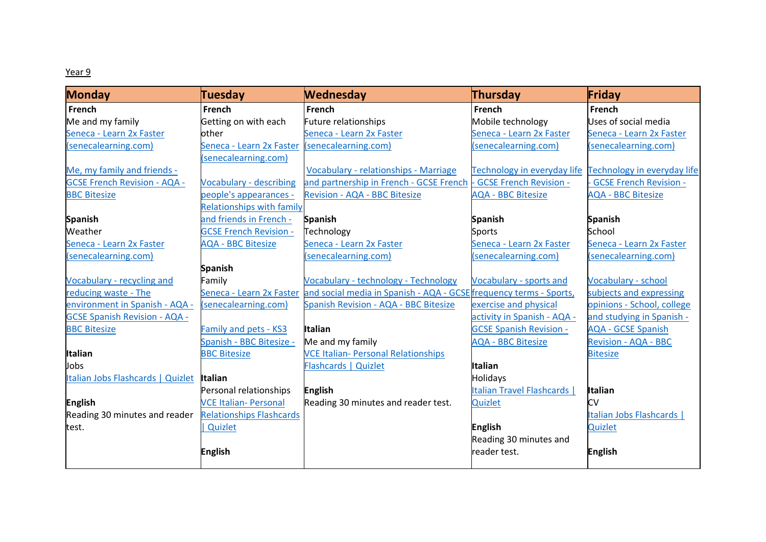## Year 9

| <b>Monday</b>                        | <b>Tuesday</b>                                | <b>Wednesday</b>                                                                            | Thursday                           | Friday                        |
|--------------------------------------|-----------------------------------------------|---------------------------------------------------------------------------------------------|------------------------------------|-------------------------------|
| French                               | French                                        | <b>French</b>                                                                               | <b>French</b>                      | <b>French</b>                 |
| Me and my family                     | Getting on with each                          | <b>Future relationships</b>                                                                 | Mobile technology                  | Uses of social media          |
| Seneca - Learn 2x Faster             | other                                         | Seneca - Learn 2x Faster                                                                    | Seneca - Learn 2x Faster           | Seneca - Learn 2x Faster      |
| (senecalearning.com)                 | Seneca - Learn 2x Faster (senecalearning.com) |                                                                                             | (senecalearning.com)               | (senecalearning.com)          |
|                                      | (senecalearning.com)                          |                                                                                             |                                    |                               |
| Me, my family and friends -          |                                               | Vocabulary - relationships - Marriage                                                       | Technology in everyday life        | Technology in everyday life   |
| <b>GCSE French Revision - AQA -</b>  | <b>Vocabulary - describing</b>                | and partnership in French - GCSE French -                                                   | <b>GCSE French Revision -</b>      | <b>GCSE French Revision -</b> |
| <b>BBC Bitesize</b>                  | people's appearances -                        | Revision - AQA - BBC Bitesize                                                               | <b>AQA - BBC Bitesize</b>          | <b>AQA - BBC Bitesize</b>     |
|                                      | <b>Relationships with family</b>              |                                                                                             |                                    |                               |
| <b>Spanish</b>                       | and friends in French -                       | <b>Spanish</b>                                                                              | <b>Spanish</b>                     | <b>Spanish</b>                |
| Weather                              | <b>GCSE French Revision -</b>                 | Technology                                                                                  | Sports                             | School                        |
| Seneca - Learn 2x Faster             | <b>AQA - BBC Bitesize</b>                     | Seneca - Learn 2x Faster                                                                    | Seneca - Learn 2x Faster           | Seneca - Learn 2x Faster      |
| (senecalearning.com)                 |                                               | senecalearning.com)                                                                         | (senecalearning.com)               | (senecalearning.com)          |
|                                      | <b>Spanish</b>                                |                                                                                             |                                    |                               |
| Vocabulary - recycling and           | Family                                        | <b>Vocabulary - technology - Technology</b>                                                 | <b>Vocabulary - sports and</b>     | <b>Vocabulary - school</b>    |
| reducing waste - The                 |                                               | Seneca - Learn 2x Faster and social media in Spanish - AQA - GCSE frequency terms - Sports, |                                    | subjects and expressing       |
| environment in Spanish - AQA -       | (senecalearning.com)                          | Spanish Revision - AQA - BBC Bitesize                                                       | exercise and physical              | opinions - School, college    |
| <b>GCSE Spanish Revision - AQA -</b> |                                               |                                                                                             | activity in Spanish - AQA -        | and studying in Spanish -     |
| <b>BBC Bitesize</b>                  | Family and pets - KS3                         | Italian                                                                                     | <b>GCSE Spanish Revision -</b>     | <b>AQA - GCSE Spanish</b>     |
|                                      | Spanish - BBC Bitesize -                      | Me and my family                                                                            | <b>AQA - BBC Bitesize</b>          | <b>Revision - AQA - BBC</b>   |
| <b>Italian</b>                       | <b>BBC Bitesize</b>                           | <b>VCE Italian- Personal Relationships</b>                                                  |                                    | <b>Bitesize</b>               |
| Jobs                                 |                                               | Flashcards   Quizlet                                                                        | <b>Italian</b>                     |                               |
| Italian Jobs Flashcards   Quizlet    | <b>Italian</b>                                |                                                                                             | <b>Holidays</b>                    |                               |
|                                      | Personal relationships                        | <b>English</b>                                                                              | <b>Italian Travel Flashcards  </b> | <b>Italian</b>                |
| <b>English</b>                       | <b>VCE Italian- Personal</b>                  | Reading 30 minutes and reader test.                                                         | Quizlet                            | С۷                            |
| Reading 30 minutes and reader        | <b>Relationships Flashcards</b>               |                                                                                             |                                    | Italian Jobs Flashcards       |
| test.                                | Quizlet                                       |                                                                                             | <b>English</b>                     | Quizlet                       |
|                                      |                                               |                                                                                             | Reading 30 minutes and             |                               |
|                                      | <b>English</b>                                |                                                                                             | reader test.                       | <b>English</b>                |
|                                      |                                               |                                                                                             |                                    |                               |